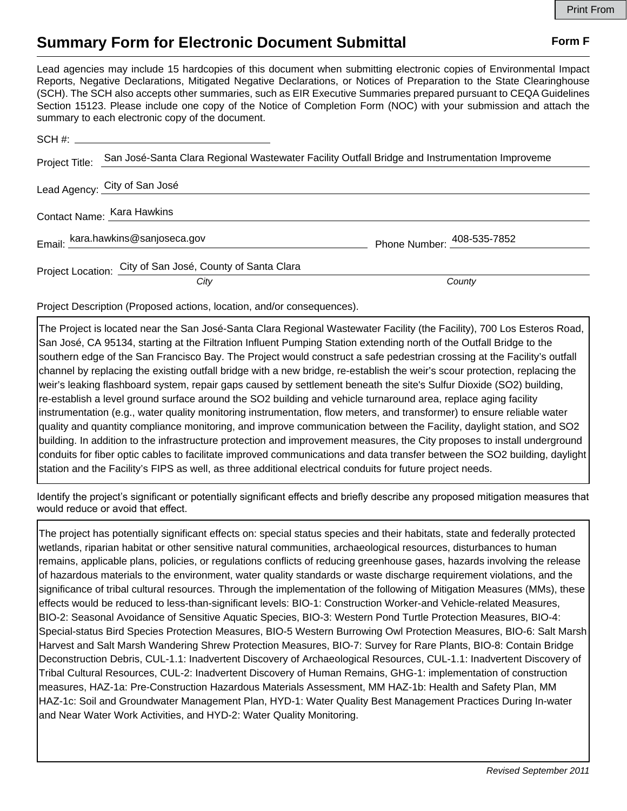## **Summary Form for Electronic Document Submittal Form F Form F**

Lead agencies may include 15 hardcopies of this document when submitting electronic copies of Environmental Impact Reports, Negative Declarations, Mitigated Negative Declarations, or Notices of Preparation to the State Clearinghouse (SCH). The SCH also accepts other summaries, such as EIR Executive Summaries prepared pursuant to CEQA Guidelines Section 15123. Please include one copy of the Notice of Completion Form (NOC) with your submission and attach the summary to each electronic copy of the document.

| Project Title: | San José-Santa Clara Regional Wastewater Facility Outfall Bridge and Instrumentation Improveme |                            |
|----------------|------------------------------------------------------------------------------------------------|----------------------------|
|                | Lead Agency: City of San José                                                                  |                            |
|                | Contact Name: Kara Hawkins                                                                     |                            |
|                | Email: kara.hawkins@sanjoseca.gov                                                              | Phone Number: 408-535-7852 |
|                | Project Location: City of San José, County of Santa Clara                                      |                            |
|                | City                                                                                           | County                     |

Project Description (Proposed actions, location, and/or consequences).

The Project is located near the San José-Santa Clara Regional Wastewater Facility (the Facility), 700 Los Esteros Road, San José, CA 95134, starting at the Filtration Influent Pumping Station extending north of the Outfall Bridge to the southern edge of the San Francisco Bay. The Project would construct a safe pedestrian crossing at the Facility's outfall channel by replacing the existing outfall bridge with a new bridge, re-establish the weir's scour protection, replacing the weir's leaking flashboard system, repair gaps caused by settlement beneath the site's Sulfur Dioxide (SO2) building, re-establish a level ground surface around the SO2 building and vehicle turnaround area, replace aging facility instrumentation (e.g., water quality monitoring instrumentation, flow meters, and transformer) to ensure reliable water quality and quantity compliance monitoring, and improve communication between the Facility, daylight station, and SO2 building. In addition to the infrastructure protection and improvement measures, the City proposes to install underground conduits for fiber optic cables to facilitate improved communications and data transfer between the SO2 building, daylight station and the Facility's FIPS as well, as three additional electrical conduits for future project needs.

Identify the project's significant or potentially significant effects and briefly describe any proposed mitigation measures that would reduce or avoid that effect.

The project has potentially significant effects on: special status species and their habitats, state and federally protected wetlands, riparian habitat or other sensitive natural communities, archaeological resources, disturbances to human remains, applicable plans, policies, or regulations conflicts of reducing greenhouse gases, hazards involving the release of hazardous materials to the environment, water quality standards or waste discharge requirement violations, and the significance of tribal cultural resources. Through the implementation of the following of Mitigation Measures (MMs), these effects would be reduced to less-than-significant levels: BIO-1: Construction Worker-and Vehicle-related Measures, BIO-2: Seasonal Avoidance of Sensitive Aquatic Species, BIO-3: Western Pond Turtle Protection Measures, BIO-4: Special-status Bird Species Protection Measures, BIO-5 Western Burrowing Owl Protection Measures, BIO-6: Salt Marsh Harvest and Salt Marsh Wandering Shrew Protection Measures, BIO-7: Survey for Rare Plants, BIO-8: Contain Bridge Deconstruction Debris, CUL-1.1: Inadvertent Discovery of Archaeological Resources, CUL-1.1: Inadvertent Discovery of Tribal Cultural Resources, CUL-2: Inadvertent Discovery of Human Remains, GHG-1: implementation of construction measures, HAZ-1a: Pre-Construction Hazardous Materials Assessment, MM HAZ-1b: Health and Safety Plan, MM HAZ-1c: Soil and Groundwater Management Plan, HYD-1: Water Quality Best Management Practices During In-water and Near Water Work Activities, and HYD-2: Water Quality Monitoring.